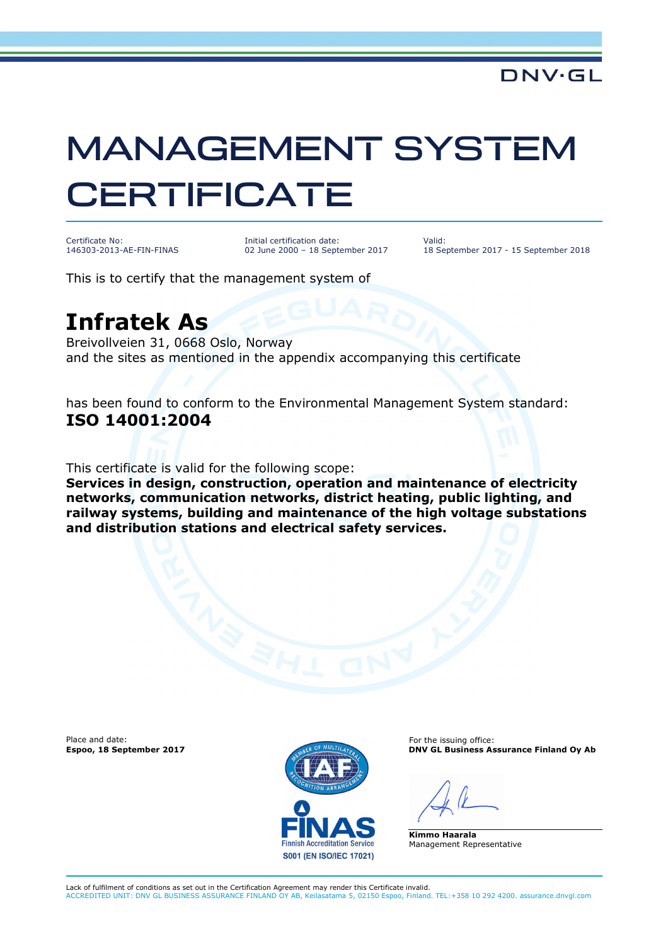## MANAGEMENT SYSTEM **CERTIFICATE**

Certificate No: 146303-2013-AE-FIN-FINAS Initial certification date: 02 June 2000 – 18 September 2017 Valid: 18 September 2017 - 15 September 2018

This is to certify that the management system of

## **Infratek As**

Breivollveien 31, 0668 Oslo, Norway and the sites as mentioned in the appendix accompanying this certificate

has been found to conform to the Environmental Management System standard: **ISO 14001:2004**

This certificate is valid for the following scope:

**Services in design, construction, operation and maintenance of electricity networks, communication networks, district heating, public lighting, and railway systems, building and maintenance of the high voltage substations and distribution stations and electrical safety services.** 

Place and date:



For the issuing office: **Espoo, 18 September 2017 DNV GL Business Assurance Finland Oy Ab** 

**Kimmo Haarala** Management Representative

Lack of fulfilment of conditions as set out in the Certification Agreement may render this Certificate invalid. ACCREDITED UNIT: DNV GL BUSINESS ASSURANCE FINLAND OY AB, Keilasatama 5, 02150 Espoo, Finland. TEL:+358 10 292 4200. assurance.dnvgl.com